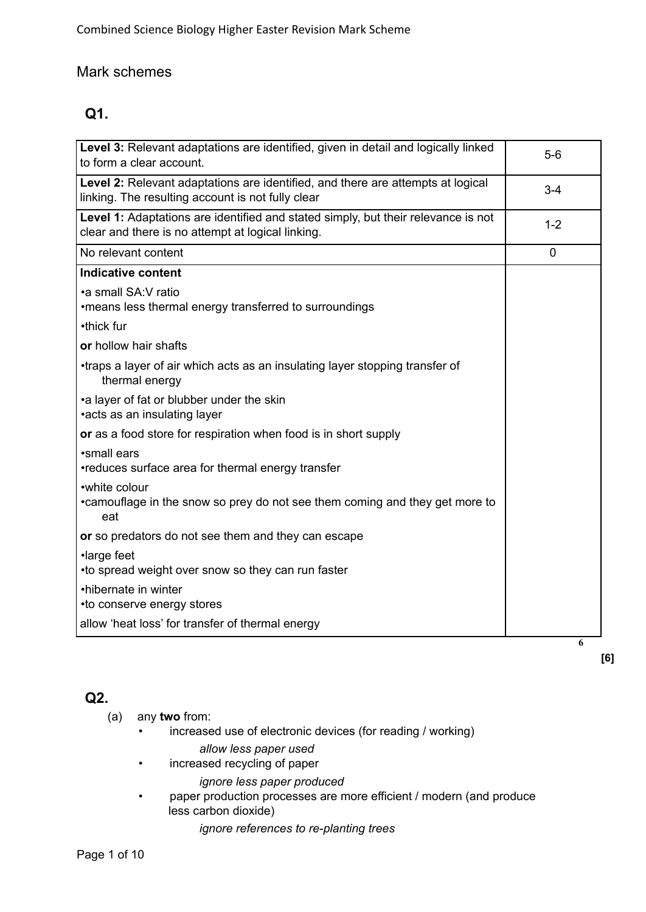# Mark schemes

# **Q1.**

| Level 3: Relevant adaptations are identified, given in detail and logically linked<br>to form a clear account.                         | $5-6$   |
|----------------------------------------------------------------------------------------------------------------------------------------|---------|
| Level 2: Relevant adaptations are identified, and there are attempts at logical<br>linking. The resulting account is not fully clear   | $3 - 4$ |
| Level 1: Adaptations are identified and stated simply, but their relevance is not<br>clear and there is no attempt at logical linking. | $1 - 2$ |
| No relevant content                                                                                                                    | 0       |
| <b>Indicative content</b>                                                                                                              |         |
| •a small SA: V ratio<br>•means less thermal energy transferred to surroundings                                                         |         |
| •thick fur                                                                                                                             |         |
| or hollow hair shafts                                                                                                                  |         |
| •traps a layer of air which acts as an insulating layer stopping transfer of<br>thermal energy                                         |         |
| •a layer of fat or blubber under the skin<br>•acts as an insulating layer                                                              |         |
| or as a food store for respiration when food is in short supply                                                                        |         |
| •small ears<br>•reduces surface area for thermal energy transfer                                                                       |         |
| •white colour<br>•camouflage in the snow so prey do not see them coming and they get more to<br>eat                                    |         |
| or so predators do not see them and they can escape                                                                                    |         |
| ·large feet<br>• to spread weight over snow so they can run faster                                                                     |         |
| •hibernate in winter<br>•to conserve energy stores                                                                                     |         |
| allow 'heat loss' for transfer of thermal energy                                                                                       |         |
|                                                                                                                                        | 6       |

# **Q2.**

(a) any **two** from:

- increased use of electronic devices (for reading / working) *allow less paper used*
- increased recycling of paper

*ignore less paper produced*

• paper production processes are more efficient / modern (and produce less carbon dioxide)

**[6]**

*ignore references to re-planting trees*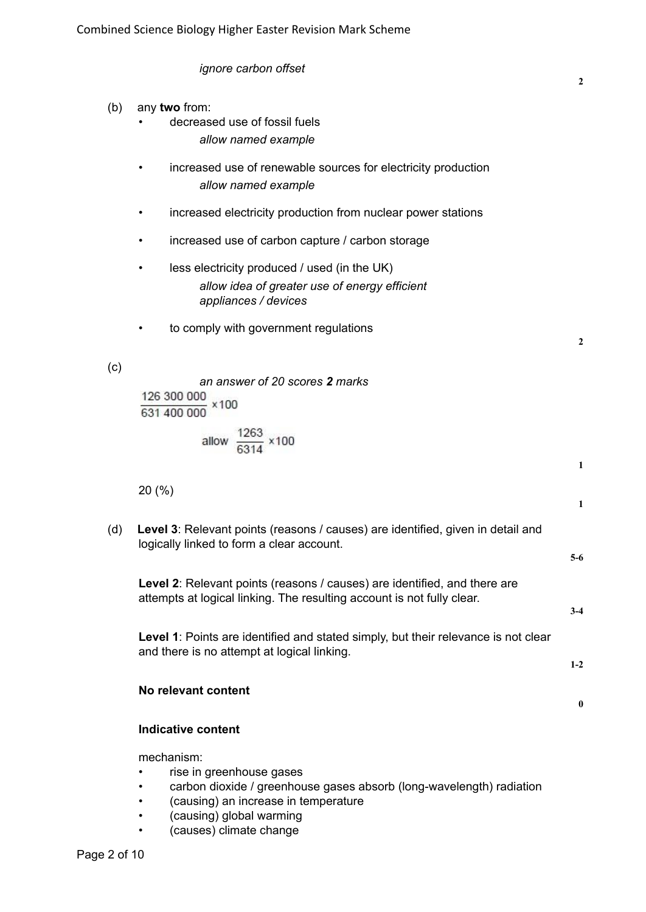|                           | ignore carbon offset                                                                                                                                | $\mathbf{2}$      |  |
|---------------------------|-----------------------------------------------------------------------------------------------------------------------------------------------------|-------------------|--|
| (b)                       | any two from:<br>decreased use of fossil fuels<br>allow named example                                                                               |                   |  |
|                           | increased use of renewable sources for electricity production<br>٠<br>allow named example                                                           |                   |  |
|                           | increased electricity production from nuclear power stations<br>$\bullet$                                                                           |                   |  |
|                           | increased use of carbon capture / carbon storage<br>$\bullet$                                                                                       |                   |  |
|                           | less electricity produced / used (in the UK)<br>$\bullet$<br>allow idea of greater use of energy efficient<br>appliances / devices                  |                   |  |
|                           | to comply with government regulations<br>$\bullet$                                                                                                  | $\mathbf{2}$      |  |
| (c)                       | an answer of 20 scores 2 marks<br>$\frac{126\;300\;000}{631\;400\;000}\;\times100$<br>allow $\frac{1263}{6314}$ × 100                               |                   |  |
|                           | 20(%)                                                                                                                                               | 1<br>$\mathbf{1}$ |  |
| (d)                       | Level 3: Relevant points (reasons / causes) are identified, given in detail and<br>logically linked to form a clear account.                        | $5-6$             |  |
|                           | Level 2: Relevant points (reasons / causes) are identified, and there are<br>attempts at logical linking. The resulting account is not fully clear. | $3-4$             |  |
|                           | Level 1: Points are identified and stated simply, but their relevance is not clear<br>and there is no attempt at logical linking.                   | $1-2$             |  |
|                           | No relevant content                                                                                                                                 | $\bf{0}$          |  |
| <b>Indicative content</b> |                                                                                                                                                     |                   |  |
|                           | mechanism:<br>rise in greenhouse gases                                                                                                              |                   |  |

- carbon dioxide / greenhouse gases absorb (long-wavelength) radiation
- (causing) an increase in temperature
- (causing) global warming
- (causes) climate change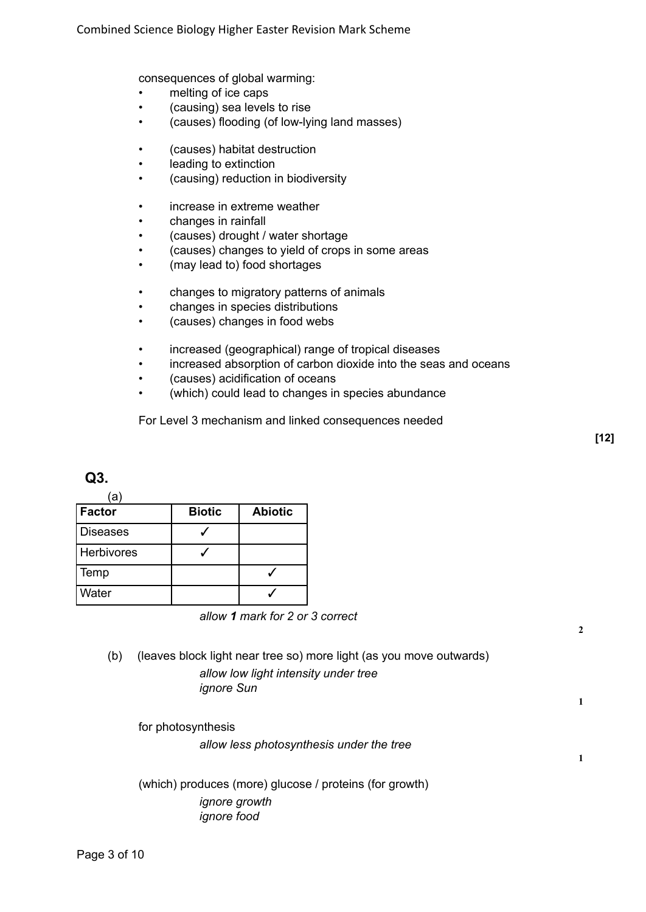consequences of global warming:

- melting of ice caps
- (causing) sea levels to rise
- (causes) flooding (of low-lying land masses)
- (causes) habitat destruction
- leading to extinction
- (causing) reduction in biodiversity
- increase in extreme weather
- changes in rainfall
- (causes) drought / water shortage
- (causes) changes to yield of crops in some areas
- (may lead to) food shortages
- changes to migratory patterns of animals
- changes in species distributions
- (causes) changes in food webs
- increased (geographical) range of tropical diseases
- increased absorption of carbon dioxide into the seas and oceans
- (causes) acidification of oceans
- (which) could lead to changes in species abundance

For Level 3 mechanism and linked consequences needed

**2**

**1**

**1**

### **Q3.**

(a)

| Factor            | <b>Biotic</b> | <b>Abiotic</b> |
|-------------------|---------------|----------------|
| <b>Diseases</b>   |               |                |
| <b>Herbivores</b> |               |                |
| Temp              |               |                |
| Water             |               |                |

*allow 1 mark for 2 or 3 correct*

(b) (leaves block light near tree so) more light (as you move outwards) *allow low light intensity under tree ignore Sun*

for photosynthesis

*allow less photosynthesis under the tree*

(which) produces (more) glucose / proteins (for growth) *ignore growth ignore food*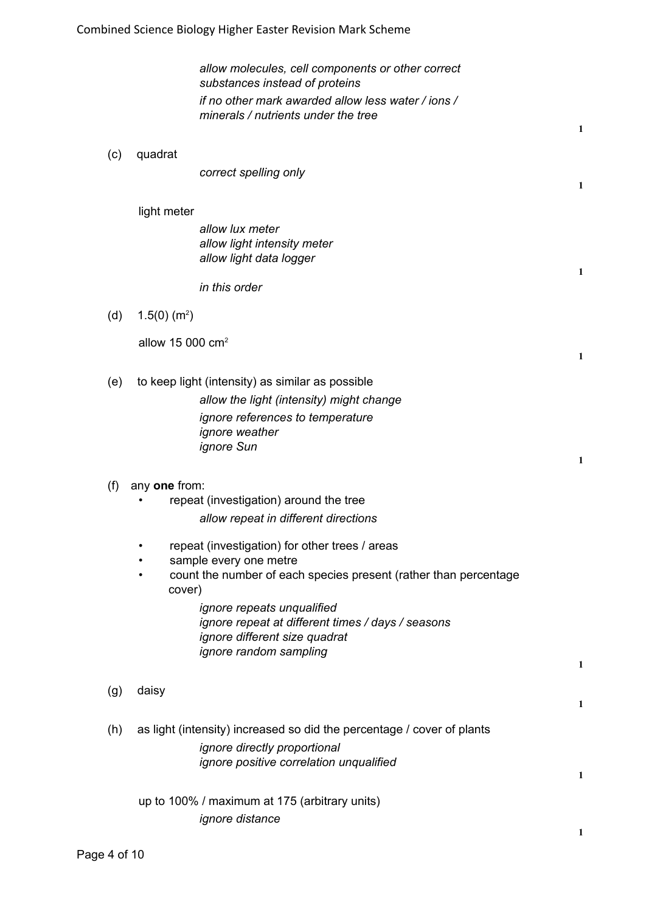*allow molecules, cell components or other correct substances instead of proteins if no other mark awarded allow less water / ions / minerals / nutrients under the tree*

**1**

**1**

**1**

**1**

**1**

**1**

**1**

**1**

**1**

(c) quadrat

*correct spelling only*

### light meter

*allow lux meter allow light intensity meter allow light data logger*

*in this order*

(d)  $1.5(0)$  (m<sup>2</sup>)

allow 15 000 cm<sup>2</sup>

- (e) to keep light (intensity) as similar as possible
	- *allow the light (intensity) might change ignore references to temperature ignore weather ignore Sun*

### (f) any **one** from:

- repeat (investigation) around the tree *allow repeat in different directions*
- repeat (investigation) for other trees / areas
- sample every one metre
- count the number of each species present (rather than percentage cover)

*ignore repeats unqualified ignore repeat at different times / days / seasons ignore different size quadrat ignore random sampling*

- (g) daisy
- (h) as light (intensity) increased so did the percentage / cover of plants *ignore directly proportional ignore positive correlation unqualified*

up to 100% / maximum at 175 (arbitrary units) *ignore distance*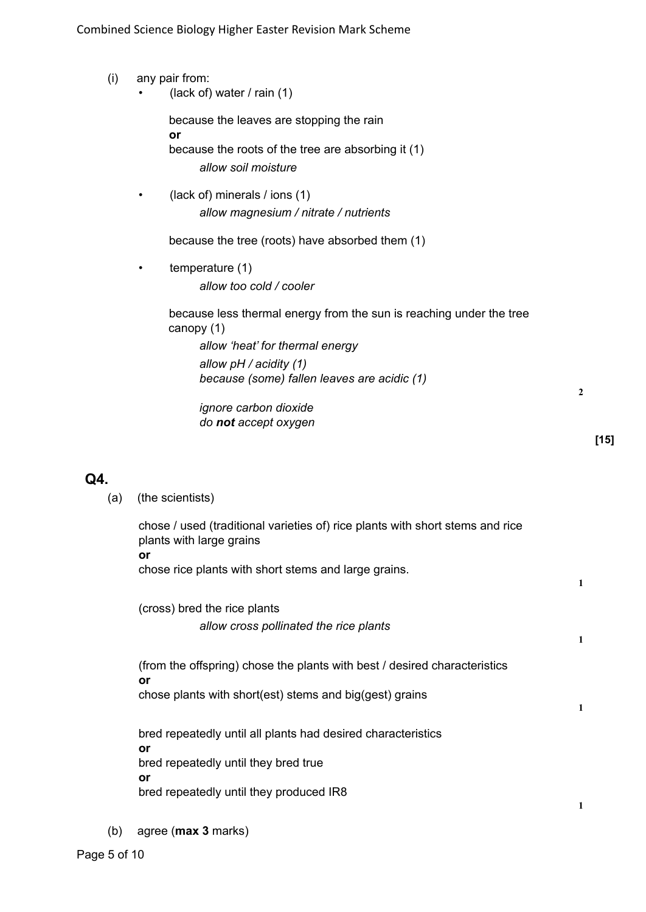- (i) any pair from:
	- (lack of) water  $/$  rain  $(1)$

because the leaves are stopping the rain **or** because the roots of the tree are absorbing it (1) *allow soil moisture*

• (lack of) minerals / ions (1) *allow magnesium / nitrate / nutrients*

because the tree (roots) have absorbed them (1)

temperature (1) *allow too cold / cooler*

> because less thermal energy from the sun is reaching under the tree canopy (1) *allow 'heat' for thermal energy allow pH / acidity (1) because (some) fallen leaves are acidic (1)*

*ignore carbon dioxide do not accept oxygen*

### **Q4.**

(a) (the scientists)

chose / used (traditional varieties of) rice plants with short stems and rice plants with large grains **or** chose rice plants with short stems and large grains.

(cross) bred the rice plants *allow cross pollinated the rice plants*

(from the offspring) chose the plants with best / desired characteristics **or** chose plants with short(est) stems and big(gest) grains

bred repeatedly until all plants had desired characteristics **or** bred repeatedly until they bred true **or**

bred repeatedly until they produced IR8

(b) agree (**max 3** marks)

**2**

**1**

**1**

**1**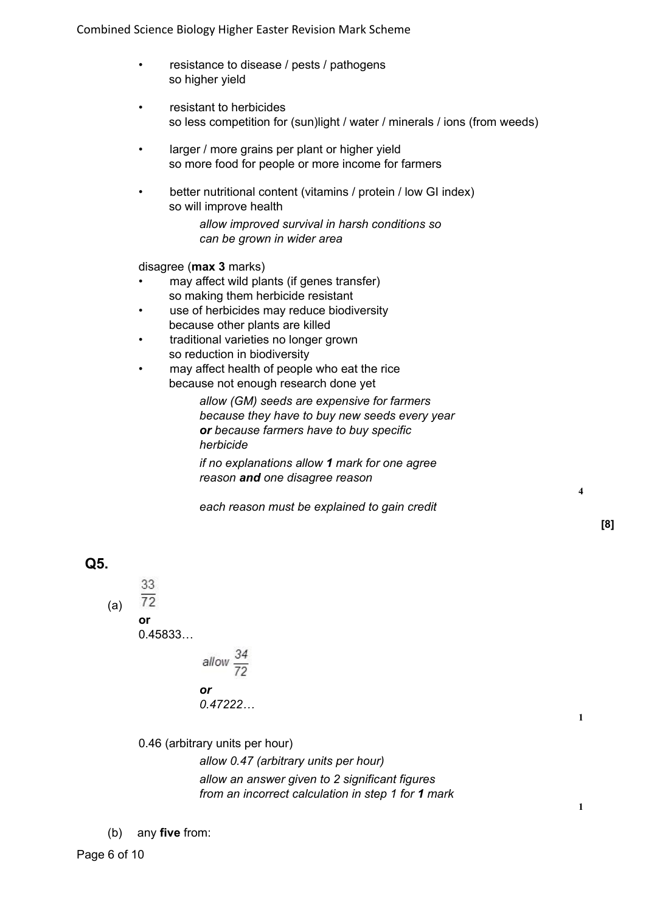Combined Science Biology Higher Easter Revision Mark Scheme

- resistance to disease / pests / pathogens so higher yield
- resistant to herbicides so less competition for (sun)light / water / minerals / ions (from weeds)
- larger / more grains per plant or higher yield so more food for people or more income for farmers
- better nutritional content (vitamins / protein / low GI index) so will improve health

*allow improved survival in harsh conditions so can be grown in wider area*

disagree (**max 3** marks)

- may affect wild plants (if genes transfer) so making them herbicide resistant
- use of herbicides may reduce biodiversity because other plants are killed
- traditional varieties no longer grown so reduction in biodiversity
- may affect health of people who eat the rice because not enough research done yet

*allow (GM) seeds are expensive for farmers because they have to buy new seeds every year or because farmers have to buy specific herbicide*

*if no explanations allow 1 mark for one agree reason and one disagree reason*

*each reason must be explained to gain credit*

**4**

**[8]**

**Q5.**

33  $\overline{72}$ (a) **or** 0.45833…

allow  $\frac{34}{72}$ *or 0.47222…*

0.46 (arbitrary units per hour)

*allow 0.47 (arbitrary units per hour) allow an answer given to 2 significant figures from an incorrect calculation in step 1 for 1 mark*

(b) any **five** from: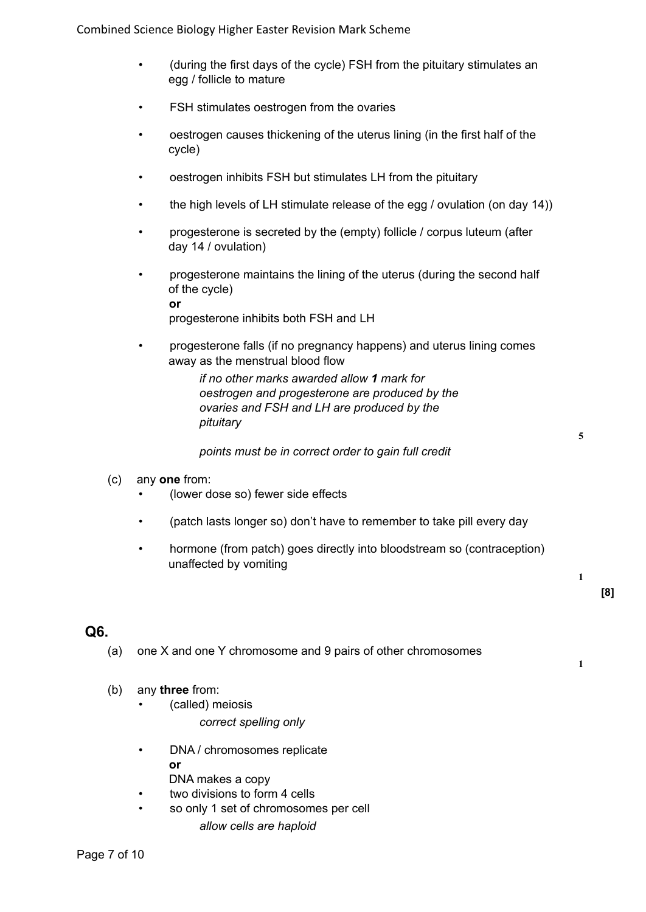Combined Science Biology Higher Easter Revision Mark Scheme

- (during the first days of the cycle) FSH from the pituitary stimulates an egg / follicle to mature
- FSH stimulates oestrogen from the ovaries
- oestrogen causes thickening of the uterus lining (in the first half of the cycle)
- oestrogen inhibits FSH but stimulates LH from the pituitary
- the high levels of LH stimulate release of the egg / ovulation (on day 14))
- progesterone is secreted by the (empty) follicle / corpus luteum (after day 14 / ovulation)
- progesterone maintains the lining of the uterus (during the second half of the cycle) **or**

progesterone inhibits both FSH and LH

• progesterone falls (if no pregnancy happens) and uterus lining comes away as the menstrual blood flow

> *if no other marks awarded allow 1 mark for oestrogen and progesterone are produced by the ovaries and FSH and LH are produced by the pituitary*

*points must be in correct order to gain full credit*

- (c) any **one** from:
	- (lower dose so) fewer side effects
	- (patch lasts longer so) don't have to remember to take pill every day
	- hormone (from patch) goes directly into bloodstream so (contraception) unaffected by vomiting

# **[8]**

### **Q6.**

- (a) one X and one Y chromosome and 9 pairs of other chromosomes
- **1**

**1**

- (b) any **three** from:
	- (called) meiosis
		- *correct spelling only*
	- DNA / chromosomes replicate **or** DNA makes a copy
		- two divisions to form 4 cells
	- so only 1 set of chromosomes per cell
		- *allow cells are haploid*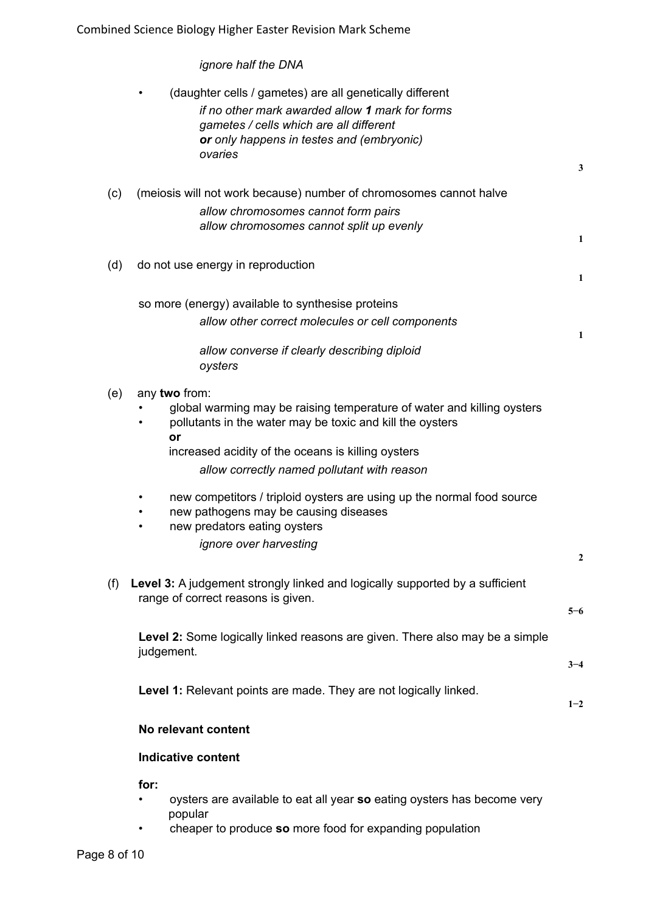Combined Science Biology Higher Easter Revision Mark Scheme

*ignore half the DNA*

|     | (daughter cells / gametes) are all genetically different<br>if no other mark awarded allow 1 mark for forms<br>gametes / cells which are all different<br>or only happens in testes and (embryonic)<br>ovaries | $\mathbf{3}$ |
|-----|----------------------------------------------------------------------------------------------------------------------------------------------------------------------------------------------------------------|--------------|
| (c) | (meiosis will not work because) number of chromosomes cannot halve<br>allow chromosomes cannot form pairs<br>allow chromosomes cannot split up evenly                                                          | 1            |
| (d) | do not use energy in reproduction                                                                                                                                                                              | 1            |
|     | so more (energy) available to synthesise proteins                                                                                                                                                              |              |
|     | allow other correct molecules or cell components                                                                                                                                                               |              |
|     | allow converse if clearly describing diploid<br>oysters                                                                                                                                                        | 1            |
| (e) | any two from:<br>global warming may be raising temperature of water and killing oysters<br>pollutants in the water may be toxic and kill the oysters<br>or                                                     |              |
|     | increased acidity of the oceans is killing oysters<br>allow correctly named pollutant with reason                                                                                                              |              |
|     | new competitors / triploid oysters are using up the normal food source<br>new pathogens may be causing diseases<br>new predators eating oysters                                                                |              |
|     | ignore over harvesting                                                                                                                                                                                         |              |
|     |                                                                                                                                                                                                                | 2            |
| (f) | Level 3: A judgement strongly linked and logically supported by a sufficient<br>range of correct reasons is given.                                                                                             |              |
|     |                                                                                                                                                                                                                | $5 - 6$      |
|     | Level 2: Some logically linked reasons are given. There also may be a simple<br>judgement.                                                                                                                     |              |
|     |                                                                                                                                                                                                                | $3 - 4$      |
|     | Level 1: Relevant points are made. They are not logically linked.                                                                                                                                              | $1 - 2$      |
|     | No relevant content                                                                                                                                                                                            |              |
|     | <b>Indicative content</b>                                                                                                                                                                                      |              |
|     | for:                                                                                                                                                                                                           |              |
|     | oysters are available to eat all year so eating oysters has become very                                                                                                                                        |              |

- popular
	- cheaper to produce **so** more food for expanding population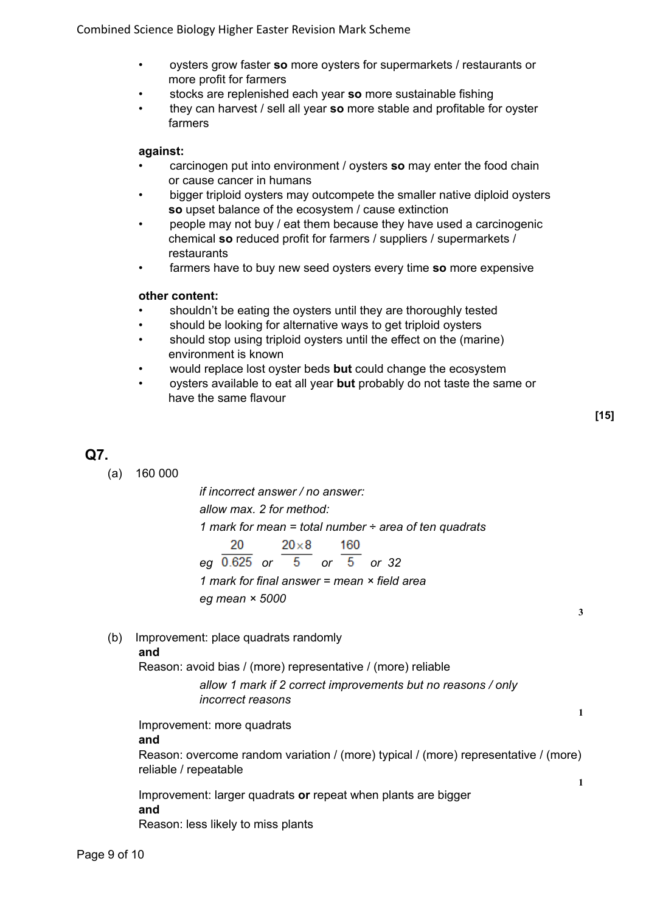- oysters grow faster **so** more oysters for supermarkets / restaurants or more profit for farmers
- stocks are replenished each year **so** more sustainable fishing
- they can harvest / sell all year **so** more stable and profitable for oyster farmers

### **against:**

- carcinogen put into environment / oysters **so** may enter the food chain or cause cancer in humans
- bigger triploid oysters may outcompete the smaller native diploid oysters **so** upset balance of the ecosystem / cause extinction
- people may not buy / eat them because they have used a carcinogenic chemical **so** reduced profit for farmers / suppliers / supermarkets / restaurants
- farmers have to buy new seed oysters every time **so** more expensive

#### **other content:**

- shouldn't be eating the oysters until they are thoroughly tested
- should be looking for alternative ways to get triploid oysters
- should stop using triploid oysters until the effect on the (marine) environment is known
- would replace lost oyster beds **but** could change the ecosystem
- oysters available to eat all year **but** probably do not taste the same or have the same flavour

**3**

**1**

# **Q7.**

(a) 160 000

*if incorrect answer / no answer: allow max. 2 for method: 1 mark for mean = total number ÷ area of ten quadrats* 20  $20\times8$ 160 *eg or or or 32 1 mark for final answer = mean × field area eg mean × 5000*

(b) Improvement: place quadrats randomly

### **and**

Reason: avoid bias / (more) representative / (more) reliable

*allow 1 mark if 2 correct improvements but no reasons / only incorrect reasons*

Improvement: more quadrats **and** Reason: overcome random variation / (more) typical / (more) representative / (more) reliable / repeatable **1**

Improvement: larger quadrats **or** repeat when plants are bigger **and** Reason: less likely to miss plants